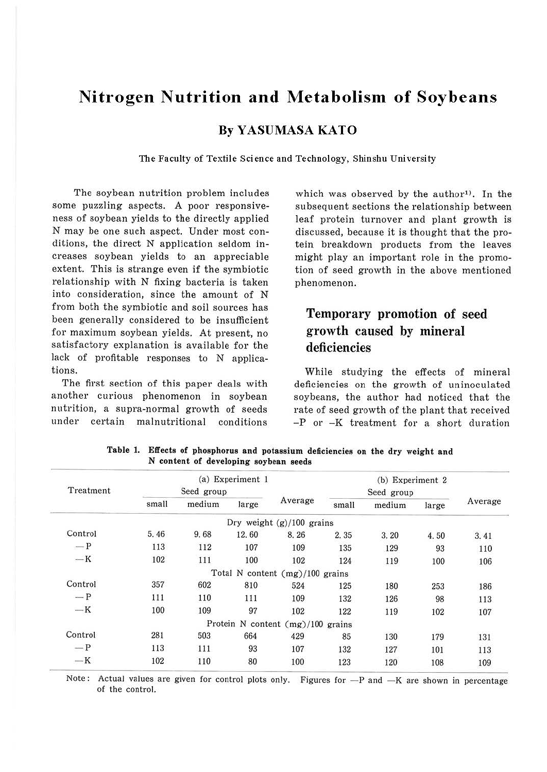# **Nitrogen Nutrition and Metabolism of Soybeans**

### **By YASUMASA KATO**

**The Faculty of Textile Science and Technology, Shinshu University** 

The soybean nutrition problem includes some puzzling aspects. A poor responsiveness of soybean yields to the directly applied N may be one such aspect. Under most conditions, the direct N application seldom increases soybean yields to an appreciable extent. This is strange even if the symbiotic relationship with N fixing bacteria is taken into consideration, since the amount of N from both the symbiotic and soil sources has been generally considered to be insufficient for maximum soybean yields. At present, no satisfactory explanation is available for the lack of profitable responses to N applications.

The first section of this paper deals with another curious phenomenon in soybean nutrition, a supra-normal growth of seeds under certain malnutritional conditions

which was observed by the author<sup>1</sup>. In the subsequent sections the relationship between leaf protein turnover and plant growth is discussed, because it is thought that the protein breakdown products from the leaves might play an important role in the promotion of seed growth in the above mentioned phenomenon.

## Temporary promotion of seed growth caused by mineral deficiencies

While studying the effects of mineral deficiencies on the growth of uninoculated soybeans, the author had noticed that the rate of seed growth of the plant that received  $-P$  or  $-K$  treatment for a short duration

| Treatment | (a) Experiment 1<br>Seed group |        |       |                                   | (b) Experiment 2<br>Seed group |        |       |         |
|-----------|--------------------------------|--------|-------|-----------------------------------|--------------------------------|--------|-------|---------|
|           | small                          | medium | large | Average                           | small                          | medium | large | Average |
|           |                                |        |       | Dry weight $(g)/100$ grains       |                                |        |       |         |
| Control   | 5.46                           | 9.68   | 12.60 | 8.26                              | 2.35                           | 3.20   | 4.50  | 3.41    |
| $-P$      | 113                            | 112    | 107   | 109                               | 135                            | 129    | 93    | 110     |
| $-K$      | 102                            | 111    | 100   | 102                               | 124                            | 119    | 100   | 106     |
|           |                                |        |       | Total N content (mg)/100 grains   |                                |        |       |         |
| Control   | 357                            | 602    | 810   | 524                               | 125                            | 180    | 253   | 186     |
| $-P$      | 111                            | 110    | 111   | 109                               | 132                            | 126    | 98    | 113     |
| $-K$      | 100                            | 109    | 97    | 102                               | 122                            | 119    | 102   | 107     |
|           |                                |        |       | Protein N content (mg)/100 grains |                                |        |       |         |
| Control   | 281                            | 503    | 664   | 429                               | 85                             | 130    | 179   | 131     |
| $-P$      | 113                            | 111    | 93    | 107                               | 132                            | 127    | 101   | 113     |
| $-K$      | 102                            | 110    | 80    | 100                               | 123                            | 120    | 108   | 109     |

**Table 1. Effects of phosphorus and potassium deficiencies on the dry weight and N content of developing soybean seeds** 

Note: Actual values are given for control plots only. Figures for  $-P$  and  $-K$  are shown in percentage of the control.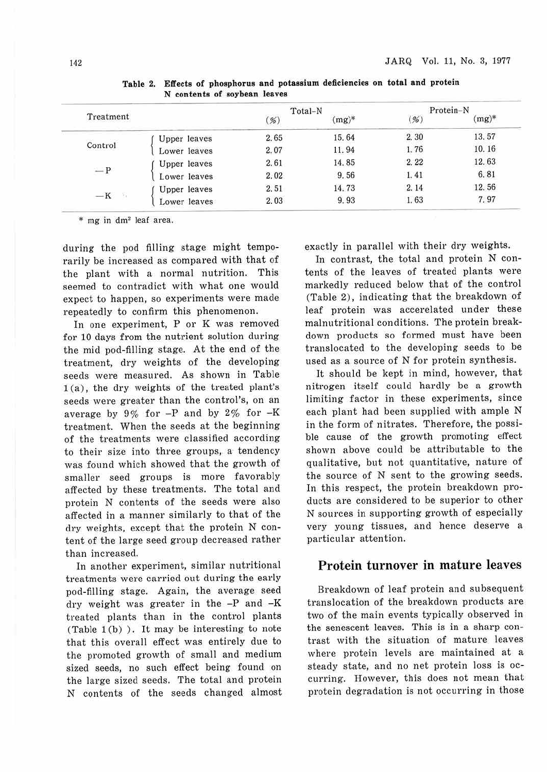|                     |      |          | Protein-N |          |  |
|---------------------|------|----------|-----------|----------|--|
|                     | %    | $(mg)^*$ | %         | $(mg)^*$ |  |
| Upper leaves        | 2.65 | 15.64    | 2.30      | 13.57    |  |
| Lower leaves        | 2.07 | 11.94    | 1.76      | 10.16    |  |
| <b>Upper leaves</b> | 2.61 | 14.85    | 2.22      | 12.63    |  |
| Lower leaves        | 2.02 | 9.56     | 1.41      | 6.81     |  |
| Upper leaves        | 2.51 | 14.73    | 2.14      | 12.56    |  |
| Lower leaves        | 2.03 | 9.93     | 1.63      | 7.97     |  |
|                     |      |          | Total-N   |          |  |

**Table 2. Effects of phosphorus and potassium deficiencies on total and protein N contents of soybean leaves** 

\* mg in dm2 leaf area.

during the pod filling stage might temporarily be increased as compared with that of the plant with a normal nutrition. This seemed to contradict with what one would expect to happen, so experiments were made repeatedly to confirm this phenomenon.

In one experiment, P or K was removed for 10 days from the nutrient solution during the mid pod-filling stage. At the end of the treatment, dry weights of the developing seeds were measured. As shown in Table 1 (a) , the dry weights of the treated plant's seeds were greater than the control's, on an average by  $9\%$  for  $-P$  and by  $2\%$  for  $-K$ treatment. When the seeds at the beginning of the treatments were classified according to their size into three groups, a tendency was found which showed that the growth of smaller seed groups is more favorably affected by these treatments. The total and protein N contents of the seeds were also affected in a manner similarly to that of the dry weights, except that the protein N content of the large seed group decreased rather than increased.

In another experiment, similar nutritional treatments were carried out during the early pod-filling stage. Again, the average seed dry weight was greater in the -P and -K treated plants than in the control plants (Table  $1(b)$ ). It may be interesting to note that this overall effect was entirely due to the promoted growth of small and medium sized seeds, no such effect being found on the large sized seeds. The total and protein N contents of the seeds changed almost exactly in parallel with their dry weights.

In contrast, the total and protein N contents of the leaves of treated plants were markedly reduced below that of the control (Table 2), indicating that the breakdown of leaf protein was accerelated under these malnutritional conditions. The protein breakdown products so formed must have been translocated to the developing seeds to be used as a source of N for protein synthesis.

It should be kept in mind, however, that nitrogen itself could hardly be a growth limiting factor in these experiments, since each plant had been supplied with ample N in the form of nitrates. Therefore, the possible cause of the growth promoting effect shown above could be attributable to the qualitative, but not quantitative, nature of the source of N sent to the growing seeds. In this respect, the protein breakdown products are considered to be superior to other N sources in supporting growth of especially very young tissues, and hence deserve a particular attention.

#### Protein turnover in mature leaves

Breakdown of leaf protein and subsequent translocation of the breakdown products are two of the main events typically observed in the senescent leaves. This is in a sharp contrast with the situation of mature leaves where protein levels are maintained at a steady state, and no net protein loss is occurring. However, this does not mean that protein degradation is not occurring in those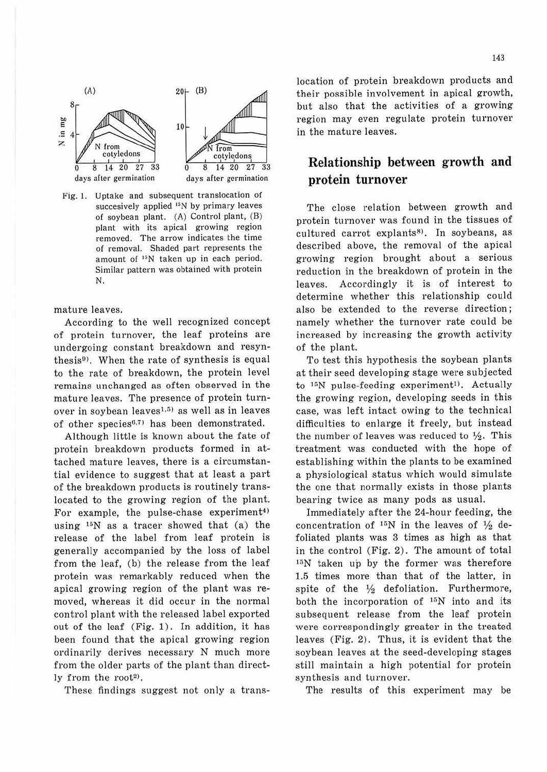

Fig. 1. Uptake and subsequent translocation of succesively applied  $^{15}N$  by primary leaves of soybean plant.  $(A)$  Control plant,  $(B)$ plant with its apical growing region removed. The arrow indicates the time of removal. Shaded part represents the amount of <sup>15</sup>N taken up in each period. Similar pattern was obtained with protein N.

mature leaves.

According to the well recognized concept of protein turnover, the leaf proteins are undergoing constant breakdown and resynthesis<sup>9)</sup>. When the rate of synthesis is equal to the rate of breakdown, the protein level remains unchanged as often observed in the mature leaves. The presence of protein turnover in soybean leaves<sup>1,5)</sup> as well as in leaves of other species<sup>6,7)</sup> has been demonstrated.

Although little is known about the fate of protein breakdown products formed in attached mature leaves, there is a circumstantial evidence to suggest that at least a part of the breakdown products is routinely translocated to the growing region of the plant. For example, the pulse-chase experiment<sup>4)</sup> using  $15N$  as a tracer showed that (a) the release of the label from leaf protein is generally accompanied by the Joss of label from the leaf, (b) the release from the leaf protein was remarkably reduced when the apical growing region of the plant was removed, whereas it did occur in the normal control plant with the released label exported out of the leaf (Fig. 1). In addition, it has been found that the apical growing region ordinarily derives necessary N much more from the older parts of the plant than directly from the root<sup>2</sup>).

These findings suggest not only a trans-

location of protein breakdown products and their possible involvement in apical growth, but also that the activities of a growing region may even regulate protein turnover in the mature leaves .

### **Relationship between growth and protein turnover**

The close relation between growth and protein turnover was found in the tissues of cultured carrot explants<sup>8)</sup>. In soybeans, as described above, the removal of the apical growing region brought about a serious reduction in the breakdown of protein in the leaves. Accordingly it is of interest to determine whether this relationship could also be extended to the reverse direction; namely whether the turnover rate could be increased by increasing the growth activity of the plant.

To test this hypothesis the soybean plants at their seed developing stage were subjected to  $15N$  pulse-feeding experiment<sup>1)</sup>. Actually the growing region, developing seeds in this case, was left intact owing to the technical difficulties to enlarge it freely, but instead the number of leaves was reduced to  $\frac{1}{2}$ . This treatment was conducted with the hope of establishing within the plants to be examined a physiological status which would simulate the one that normally exists in those plants bearing twice as many pods as usual.

Immediately after the 24-hour feeding, the concentration of  $^{15}N$  in the leaves of  $\frac{1}{2}$  defoliated plants was 3 times as high as that in the control (Fig. 2). The amount of total  $15N$  taken up by the former was therefore 1.5 times more than that of the latter, in spite of the *Y2* defoliation. Furthermore, both the incorporation of  $^{15}N$  into and its subsequent release from the leaf protein were correspondingly greater in the treated leaves (Fig. 2). Thus, it is evident that the soybean leaves at the seed-developing stages still maintain a high potential for protein synthesis and turnover.

The results of this experiment may be